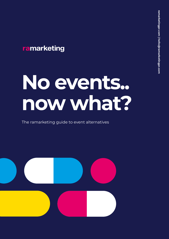### ramarketing

# **No events.. now what?**

The ramarketing guide to event alternatives

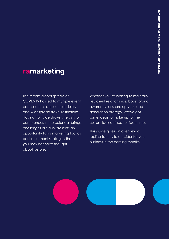### ramarketing

The recent global spread of COVID-19 has led to multiple event cancellations across the industry and widespread travel restrictions. Having no trade shows, site visits or conferences in the calendar brings challenges but also presents an opportunity to try marketing tactics and implement strategies that you may not have thought about before.

Whether you're looking to maintain key client relationships, boost brand awareness or shore up your lead generation strategy, we've got some ideas to make up for the current lack of face-to- face time.

This guide gives an overview of topline tactics to consider for your business in the coming months.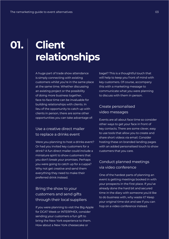# **Client relationships**

A huge part of trade show attendance is simply connecting with existing customers whilst you're in the same place at the same time. Whether discussing an existing project or the possibility of doing more business together, face-to-face time can be invaluable for building relationships with clients. In lieu of the opportunity to catch up with clients in person, there are some other opportunities you can take advantage of:

#### Use a creative direct mailer to replace a drinks event

Were you planning to host a drinks event? Or had you invited key customers for a drink? A fun direct mailer could include a miniature spirit to show customers that you don't break your promises. Perhaps you were going to catch up for a cuppa? Why not get creative and send them everything they need to make their preferred drink instead.

#### Bring the show to your customers and send gifts through their local suppliers

If you were planning to visit the Big Apple for DCAT Week or INTERPHEX, consider sending your customers a fun gift to bring the New York experience to them. How about a New York cheesecake or

bagel? This is a thoughtful touch that will help to keep you front of mind with key customers. Of course, accompany this with a marketing message to communicate what you were planning to discuss with them in person.

#### Create personalised video messages

Events are all about face time so consider other ways to get your face in front of key contacts. There are some clever, easy to use tools that allow you to create and share short videos via email. Consider hosting these on branded landing pages with an added personalised touch to show customers that you care.

#### Conduct planned meetings via video conference

One of the hardest parts of planning an event is getting meetings booked in with your prospects in the first place. If you've already done the hard bit and secured time in the diary with someone you'd like to do business with, why waste it? Keep your original time slot and see if you can hop on a video conference instead.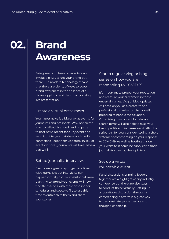# **Brand Awareness**

Being seen and heard at events is an invaluable way to get your brand out there. But modern technology means that there are plenty of ways to boost brand awareness in the absence of a showstopping stand design or cracking live presentation:

#### Create a virtual press room

Your latest news is a big draw at events for journalists and prospects. Why not create a personalised, branded landing page to host news meant for a key event and send it out to your database and media contacts to keep them updated? In lieu of events to cover, journalists will likely have a gap to fill.

#### Set up journalist interviews

Events are a great way to get face time with journalists but interviews can happen virtually too. Journalists that were planning to attend your events will now find themselves with more time in their schedules and space to fill, so use this time to outreach to them and share your stories.

#### Start a regular vlog or blog series on how you are responding to COVID-19

It's important to protect your reputation and reassure your customers in these uncertain times. Vlog or blog updates will position you as a proactive and professional organisation that is well prepared to handle the situation. Optimising this content for relevant search terms will also help to raise your brand profile and increase web traffic. If a series isn't for you, consider issuing a short statement commenting on your response to COVID-19. As well as hosting this on your website, it could be supplied to trade journalists covering the topic too.

#### Set up a virtual roundtable event

Panel discussions bringing leaders together are a highlight of any industry conference but there are also ways to conduct these virtually. Setting up a roundtable discussion through a conferencing platform is a great way to demonstrate your expertise and thought leadership.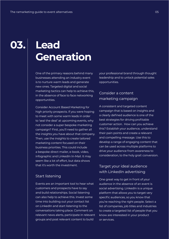# **Lead Generation**

One of the primary reasons behind many businesses attending an industry event is to nurture warm leads and generate new ones. Targeted digital and social marketing tactics can help to achieve this, in the absence of face to face networking opportunities.

Consider Account Based Marketing for high priority prospects. If you were hoping to meet with some warm leads in order to 'seal the deal' at upcoming events, why not consider a super bespoke marketing campaign? First, you'll need to gather all the insights you have about that company. Then, use the insights to create tailored marketing content focused on their business priorities. This could include a bespoke direct mailer, e-book, video, infographic and LinkedIn In-Mail. It may seem like a lot of effort, but data shows that it's worth the investment.

#### Start listening

Events are an important tool to hear what customers and prospects have to say and build relationships. Social listening can also help to achieve this. Invest some time into building out your contact list on LinkedIn and start listening to the conversations taking place. Comment on relevant news alerts, participate in relevant groups and post relevant content to build

your professional brand through thought leadership and to unlock potential sales opportunities.

#### Consider a content marketing campaign

A consistent and targeted content campaign that is based on insights and a clearly defined audience is one of the best strategies for driving profitable customer action. How can you achieve this? Establish your audience, understand their pain points and create a relevant and compelling message. Use this to develop a range of engaging content that can be used across multiple platforms to drive your audience from awareness to consideration, to the holy grail: conversion.

#### Target your ideal audience with LinkedIn advertising

One great way to get in front of your audience in the absence of an event is social advertising. LinkedIn is a unique platform that allows you to target very specific audiences, so you know that you're reaching the right people. Select a list of companies, job titles and industries to create a targeted list of people that you know are interested in your product or services.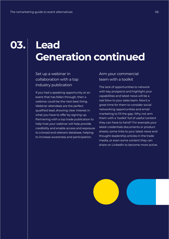# **Lead Generation continued**

Set up a webinar in collaboration with a top industry publication

If you had a speaking opportunity at an event that has fallen through, then a webinar could be the next best thing. Webinar attendees are the perfect qualified lead, showing clear interest in what you have to offer by signing up. Partnering with a top trade publication to help host your webinar will help provide credibility and enable access and exposure to a broad and relevant database, helping to increase awareness and participation.

#### Arm your commercial team with a toolkit

The lack of opportunities to network with key prospects and highlight your capabilities and latest news will be a real blow to your sales team. Now's a great time for them to consider social networking opportunities and email marketing to fill the gap. Why not arm them with a 'toolkit' full of useful content they can have to hand? For example your latest credentials documents or product sheets, some links to your latest news and thought-leadership articles in the trade media, or even some content they can share on LinkedIn to become more active.

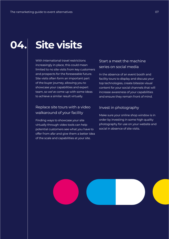# **Site visits**

With international travel restrictions increasingly in place, this could mean limited to no site visits from key customers and prospects for the foreseeable future. Site visits often form an important part of the buyer journey, allowing you to showcase your capabilities and expert team, so we've come up with some ideas to achieve a similar result virtually.

#### Replace site tours with a video walkaround of your facility

Finding ways to showcase your site virtually through video tools can help potential customers see what you have to offer from afar and give them a better idea of the scale and capabilities at your site.

#### Start a meet the machine series on social media

In the absence of an event booth and facility tours to display and discuss your top technologies, create bitesize visual content for your social channels that will increase awareness of your capabilities and ensure they remain front of mind.

#### Invest in photography

Make sure your online shop window is in order by investing in some high quality photography for use on your website and social in absence of site visits.